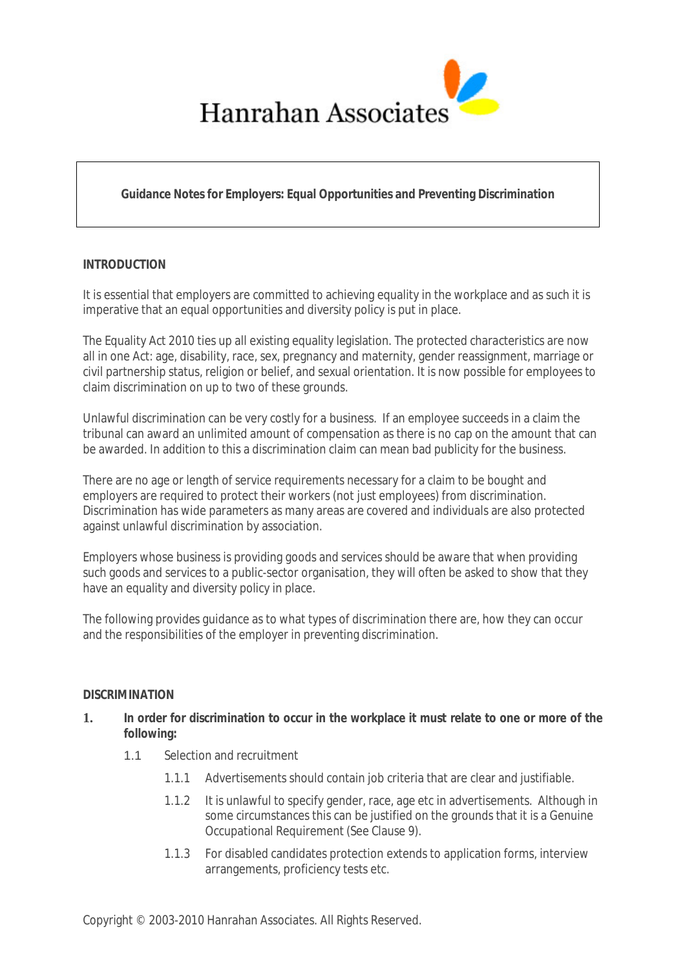

# **Guidance Notes for Employers: Equal Opportunities and Preventing Discrimination**

## **INTRODUCTION**

It is essential that employers are committed to achieving equality in the workplace and as such it is imperative that an equal opportunities and diversity policy is put in place.

The Equality Act 2010 ties up all existing equality legislation. The protected characteristics are now all in one Act: age, disability, race, sex, pregnancy and maternity, gender reassignment, marriage or civil partnership status, religion or belief, and sexual orientation. It is now possible for employees to claim discrimination on up to two of these grounds.

Unlawful discrimination can be very costly for a business. If an employee succeeds in a claim the tribunal can award an unlimited amount of compensation as there is no cap on the amount that can be awarded. In addition to this a discrimination claim can mean bad publicity for the business.

There are no age or length of service requirements necessary for a claim to be bought and employers are required to protect their workers (not just employees) from discrimination. Discrimination has wide parameters as many areas are covered and individuals are also protected against unlawful discrimination by association.

Employers whose business is providing goods and services should be aware that when providing such goods and services to a public-sector organisation, they will often be asked to show that they have an equality and diversity policy in place.

The following provides guidance as to what types of discrimination there are, how they can occur and the responsibilities of the employer in preventing discrimination.

### **DISCRIMINATION**

## **1. In order for discrimination to occur in the workplace it must relate to one or more of the following:**

- 1.1 Selection and recruitment
	- 1.1.1 Advertisements should contain job criteria that are clear and justifiable.
	- 1.1.2 It is unlawful to specify gender, race, age etc in advertisements. Although in some circumstances this can be justified on the grounds that it is a Genuine Occupational Requirement (See Clause 9).
	- 1.1.3 For disabled candidates protection extends to application forms, interview arrangements, proficiency tests etc.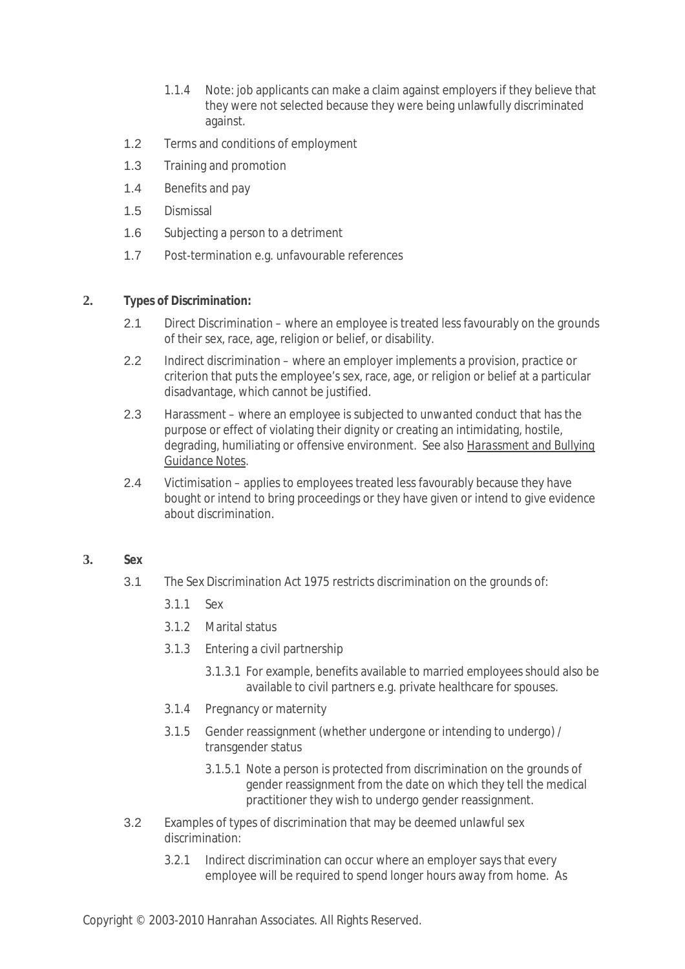- 1.1.4 Note: job applicants can make a claim against employers if they believe that they were not selected because they were being unlawfully discriminated against.
- 1.2 Terms and conditions of employment
- 1.3 Training and promotion
- 1.4 Benefits and pay
- 1.5 Dismissal
- 1.6 Subjecting a person to a detriment
- 1.7 Post-termination e.g. unfavourable references

### **2. Types of Discrimination:**

- 2.1 Direct Discrimination where an employee is treated less favourably on the grounds of their sex, race, age, religion or belief, or disability.
- 2.2 Indirect discrimination where an employer implements a provision, practice or criterion that puts the employee's sex, race, age, or religion or belief at a particular disadvantage, which cannot be justified.
- 2.3 Harassment where an employee is subjected to unwanted conduct that has the purpose or effect of violating their dignity or creating an intimidating, hostile, degrading, humiliating or offensive environment. *See also Harassment and Bullying Guidance Notes.*
- 2.4 Victimisation applies to employees treated less favourably because they have bought or intend to bring proceedings or they have given or intend to give evidence about discrimination.

### **3. Sex**

- 3.1 The Sex Discrimination Act 1975 restricts discrimination on the grounds of:
	- 3.1.1 Sex
	- 3.1.2 Marital status
	- 3.1.3 Entering a civil partnership
		- 3.1.3.1 For example, benefits available to married employees should also be available to civil partners e.g. private healthcare for spouses.
	- 3.1.4 Pregnancy or maternity
	- 3.1.5 Gender reassignment (whether undergone or intending to undergo) / transgender status
		- 3.1.5.1 Note a person is protected from discrimination on the grounds of gender reassignment from the date on which they tell the medical practitioner they wish to undergo gender reassignment.
- 3.2 Examples of types of discrimination that may be deemed unlawful sex discrimination:
	- 3.2.1 Indirect discrimination can occur where an employer says that every employee will be required to spend longer hours away from home. As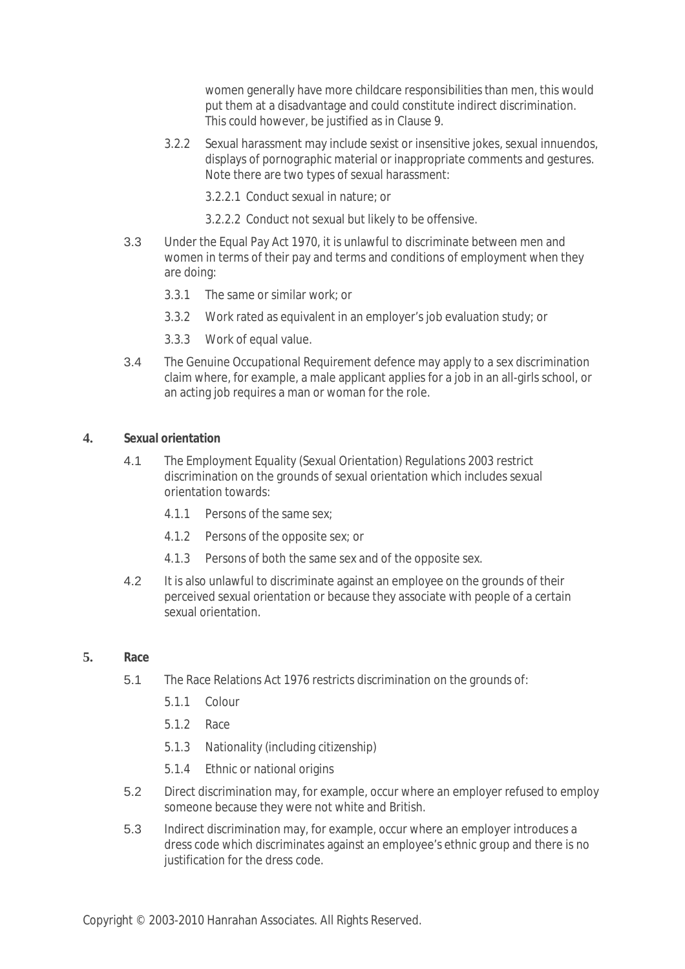women generally have more childcare responsibilities than men, this would put them at a disadvantage and could constitute indirect discrimination. This could however, be justified as in Clause 9.

- 3.2.2 Sexual harassment may include sexist or insensitive jokes, sexual innuendos, displays of pornographic material or inappropriate comments and gestures. Note there are two types of sexual harassment:
	- 3.2.2.1 Conduct sexual in nature; or
	- 3.2.2.2 Conduct not sexual but likely to be offensive.
- 3.3 Under the Equal Pay Act 1970, it is unlawful to discriminate between men and women in terms of their pay and terms and conditions of employment when they are doing:
	- 3.3.1 The same or similar work; or
	- 3.3.2 Work rated as equivalent in an employer's job evaluation study; or
	- 3.3.3 Work of equal value.
- 3.4 The Genuine Occupational Requirement defence may apply to a sex discrimination claim where, for example, a male applicant applies for a job in an all-girls school, or an acting job requires a man or woman for the role.

#### **4. Sexual orientation**

- 4.1 The Employment Equality (Sexual Orientation) Regulations 2003 restrict discrimination on the grounds of sexual orientation which includes sexual orientation towards:
	- 4.1.1 Persons of the same sex;
	- 4.1.2 Persons of the opposite sex; or
	- 4.1.3 Persons of both the same sex and of the opposite sex.
- 4.2 It is also unlawful to discriminate against an employee on the grounds of their perceived sexual orientation or because they associate with people of a certain sexual orientation.

#### **5. Race**

- 5.1 The Race Relations Act 1976 restricts discrimination on the grounds of:
	- 5.1.1 Colour
	- 5.1.2 Race
	- 5.1.3 Nationality (including citizenship)
	- 5.1.4 Ethnic or national origins
- 5.2 Direct discrimination may, for example, occur where an employer refused to employ someone because they were not white and British.
- 5.3 Indirect discrimination may, for example, occur where an employer introduces a dress code which discriminates against an employee's ethnic group and there is no justification for the dress code.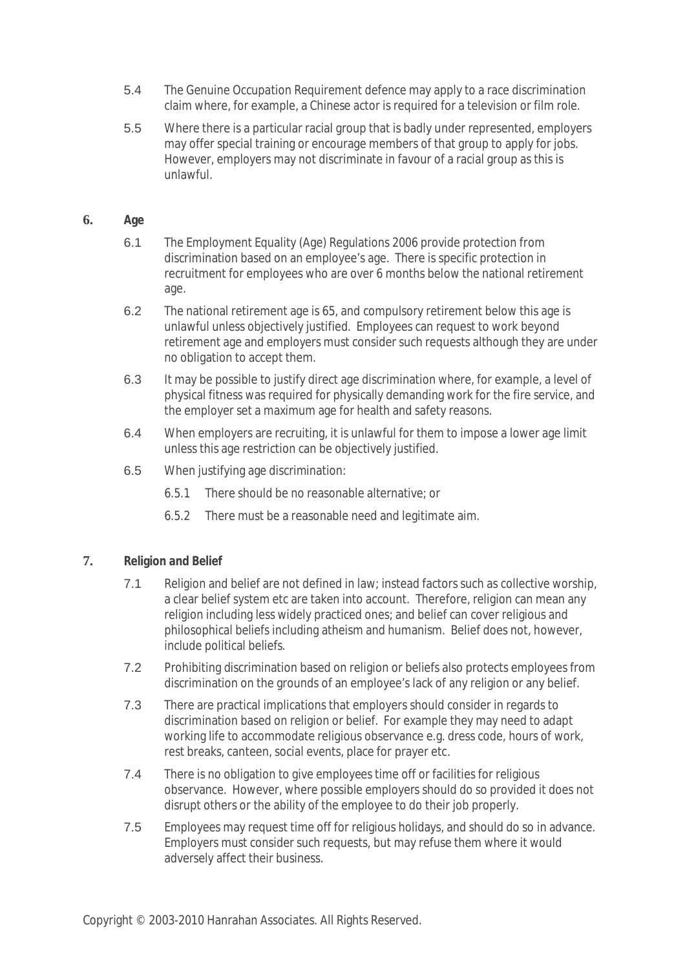- 5.4 The Genuine Occupation Requirement defence may apply to a race discrimination claim where, for example, a Chinese actor is required for a television or film role.
- 5.5 Where there is a particular racial group that is badly under represented, employers may offer special training or encourage members of that group to apply for jobs. However, employers may not discriminate in favour of a racial group as this is unlawful.

## **6. Age**

- 6.1 The Employment Equality (Age) Regulations 2006 provide protection from discrimination based on an employee's age. There is specific protection in recruitment for employees who are over 6 months below the national retirement age.
- 6.2 The national retirement age is 65, and compulsory retirement below this age is unlawful unless objectively justified. Employees can request to work beyond retirement age and employers must consider such requests although they are under no obligation to accept them.
- 6.3 It may be possible to justify direct age discrimination where, for example, a level of physical fitness was required for physically demanding work for the fire service, and the employer set a maximum age for health and safety reasons.
- 6.4 When employers are recruiting, it is unlawful for them to impose a lower age limit unless this age restriction can be objectively justified.
- 6.5 When justifying age discrimination:
	- 6.5.1 There should be no reasonable alternative; or
	- 6.5.2 There must be a reasonable need and legitimate aim.

## **7. Religion and Belief**

- 7.1 Religion and belief are not defined in law; instead factors such as collective worship, a clear belief system etc are taken into account. Therefore, religion can mean any religion including less widely practiced ones; and belief can cover religious and philosophical beliefs including atheism and humanism. Belief does not, however, include political beliefs.
- 7.2 Prohibiting discrimination based on religion or beliefs also protects employees from discrimination on the grounds of an employee's lack of any religion or any belief.
- 7.3 There are practical implications that employers should consider in regards to discrimination based on religion or belief. For example they may need to adapt working life to accommodate religious observance e.g. dress code, hours of work, rest breaks, canteen, social events, place for prayer etc.
- 7.4 There is no obligation to give employees time off or facilities for religious observance. However, where possible employers should do so provided it does not disrupt others or the ability of the employee to do their job properly.
- 7.5 Employees may request time off for religious holidays, and should do so in advance. Employers must consider such requests, but may refuse them where it would adversely affect their business.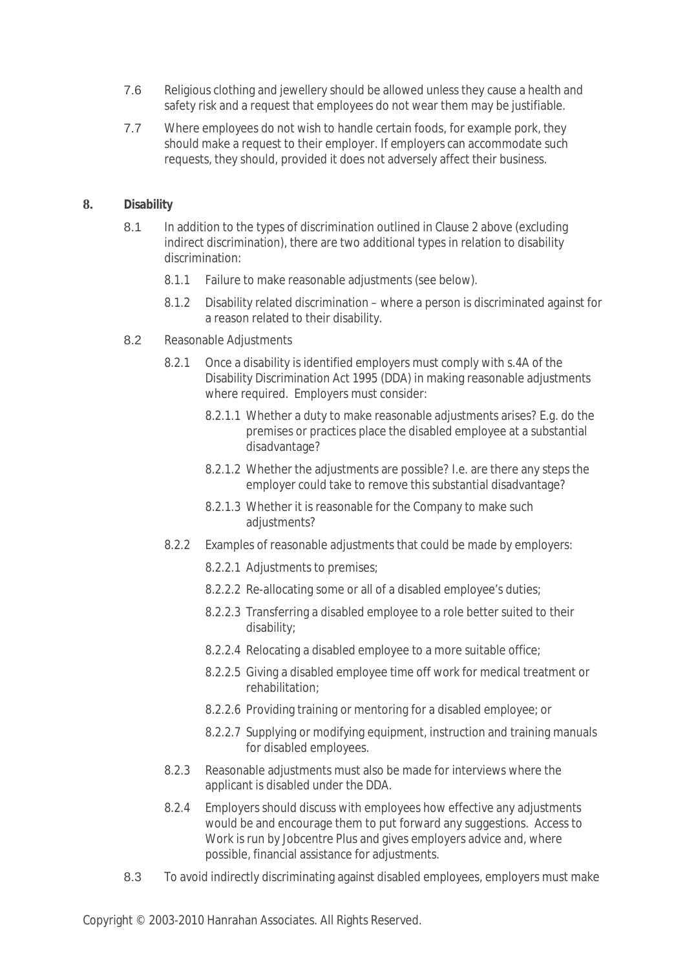- 7.6 Religious clothing and jewellery should be allowed unless they cause a health and safety risk and a request that employees do not wear them may be justifiable.
- 7.7 Where employees do not wish to handle certain foods, for example pork, they should make a request to their employer. If employers can accommodate such requests, they should, provided it does not adversely affect their business.

## **8. Disability**

- 8.1 In addition to the types of discrimination outlined in Clause 2 above (excluding indirect discrimination), there are two additional types in relation to disability discrimination:
	- 8.1.1 Failure to make reasonable adjustments (see below).
	- 8.1.2 Disability related discrimination where a person is discriminated against for a reason related to their disability.
- 8.2 Reasonable Adjustments
	- 8.2.1 Once a disability is identified employers must comply with s.4A of the Disability Discrimination Act 1995 (DDA) in making reasonable adjustments where required. Employers must consider:
		- 8.2.1.1 Whether a duty to make reasonable adjustments arises? E.g. do the premises or practices place the disabled employee at a substantial disadvantage?
		- 8.2.1.2 Whether the adjustments are possible? I.e. are there any steps the employer could take to remove this substantial disadvantage?
		- 8.2.1.3 Whether it is reasonable for the Company to make such adjustments?
	- 8.2.2 Examples of reasonable adjustments that could be made by employers:
		- 8.2.2.1 Adjustments to premises;
		- 8.2.2.2 Re-allocating some or all of a disabled employee's duties;
		- 8.2.2.3 Transferring a disabled employee to a role better suited to their disability;
		- 8.2.2.4 Relocating a disabled employee to a more suitable office;
		- 8.2.2.5 Giving a disabled employee time off work for medical treatment or rehabilitation;
		- 8.2.2.6 Providing training or mentoring for a disabled employee; or
		- 8.2.2.7 Supplying or modifying equipment, instruction and training manuals for disabled employees.
	- 8.2.3 Reasonable adjustments must also be made for interviews where the applicant is disabled under the DDA.
	- 8.2.4 Employers should discuss with employees how effective any adjustments would be and encourage them to put forward any suggestions. Access to Work is run by Jobcentre Plus and gives employers advice and, where possible, financial assistance for adjustments.
- 8.3 To avoid indirectly discriminating against disabled employees, employers must make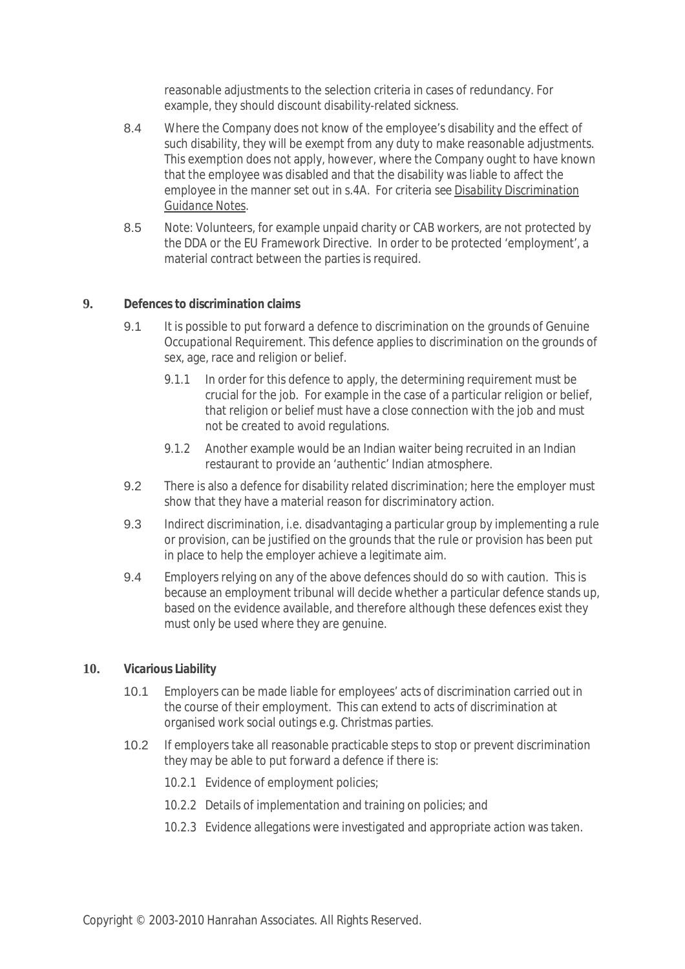reasonable adjustments to the selection criteria in cases of redundancy. For example, they should discount disability-related sickness.

- 8.4 Where the Company does not know of the employee's disability and the effect of such disability, they will be exempt from any duty to make reasonable adjustments. This exemption does not apply, however, where the Company ought to have known that the employee was disabled and that the disability was liable to affect the employee in the manner set out in s.4A. *For criteria see Disability Discrimination Guidance Notes.*
- 8.5 Note: Volunteers, for example unpaid charity or CAB workers, are not protected by the DDA or the EU Framework Directive. In order to be protected 'employment', a material contract between the parties is required.

### **9. Defences to discrimination claims**

- 9.1 It is possible to put forward a defence to discrimination on the grounds of Genuine Occupational Requirement. This defence applies to discrimination on the grounds of sex, age, race and religion or belief.
	- 9.1.1 In order for this defence to apply, the determining requirement must be crucial for the job. For example in the case of a particular religion or belief, that religion or belief must have a close connection with the job and must not be created to avoid regulations.
	- 9.1.2 Another example would be an Indian waiter being recruited in an Indian restaurant to provide an 'authentic' Indian atmosphere.
- 9.2 There is also a defence for disability related discrimination; here the employer must show that they have a material reason for discriminatory action.
- 9.3 Indirect discrimination, i.e. disadvantaging a particular group by implementing a rule or provision, can be justified on the grounds that the rule or provision has been put in place to help the employer achieve a legitimate aim.
- 9.4 Employers relying on any of the above defences should do so with caution. This is because an employment tribunal will decide whether a particular defence stands up, based on the evidence available, and therefore although these defences exist they must only be used where they are genuine.

#### **10. Vicarious Liability**

- 10.1 Employers can be made liable for employees' acts of discrimination carried out in the course of their employment. This can extend to acts of discrimination at organised work social outings e.g. Christmas parties.
- 10.2 If employers take all reasonable practicable steps to stop or prevent discrimination they may be able to put forward a defence if there is:
	- 10.2.1 Evidence of employment policies;
	- 10.2.2 Details of implementation and training on policies; and
	- 10.2.3 Evidence allegations were investigated and appropriate action was taken.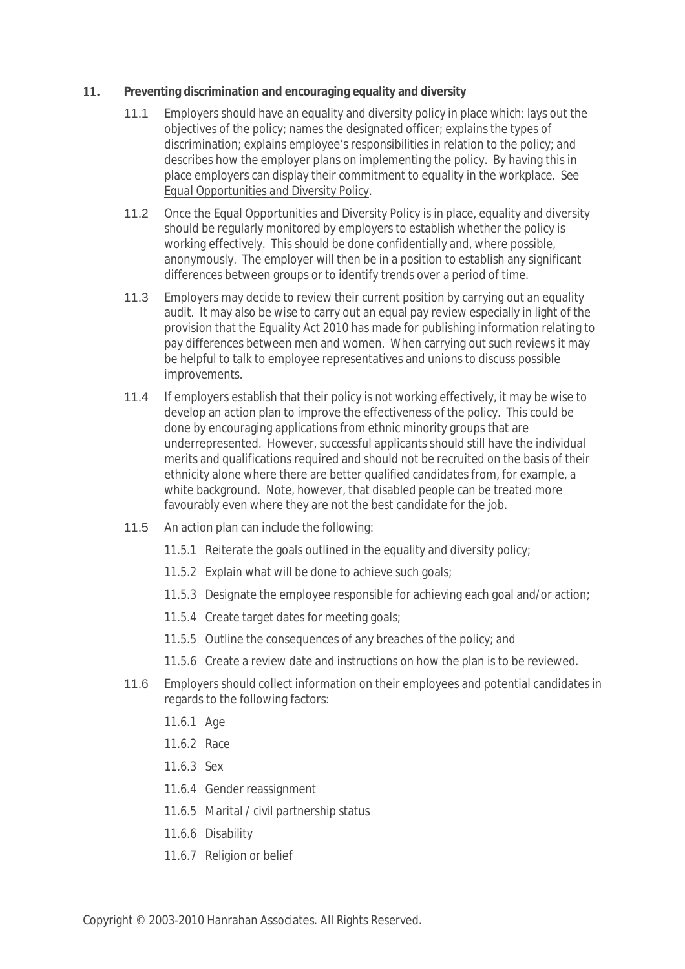## **11. Preventing discrimination and encouraging equality and diversity**

- 11.1 Employers should have an equality and diversity policy in place which: lays out the objectives of the policy; names the designated officer; explains the types of discrimination; explains employee's responsibilities in relation to the policy; and describes how the employer plans on implementing the policy. By having this in place employers can display their commitment to equality in the workplace. *See Equal Opportunities and Diversity Policy.*
- 11.2 Once the Equal Opportunities and Diversity Policy is in place, equality and diversity should be regularly monitored by employers to establish whether the policy is working effectively. This should be done confidentially and, where possible, anonymously. The employer will then be in a position to establish any significant differences between groups or to identify trends over a period of time.
- 11.3 Employers may decide to review their current position by carrying out an equality audit. It may also be wise to carry out an equal pay review especially in light of the provision that the Equality Act 2010 has made for publishing information relating to pay differences between men and women. When carrying out such reviews it may be helpful to talk to employee representatives and unions to discuss possible improvements.
- 11.4 If employers establish that their policy is not working effectively, it may be wise to develop an action plan to improve the effectiveness of the policy. This could be done by encouraging applications from ethnic minority groups that are underrepresented. However, successful applicants should still have the individual merits and qualifications required and should not be recruited on the basis of their ethnicity alone where there are better qualified candidates from, for example, a white background. Note, however, that disabled people can be treated more favourably even where they are not the best candidate for the job.
- 11.5 An action plan can include the following:
	- 11.5.1 Reiterate the goals outlined in the equality and diversity policy;
	- 11.5.2 Explain what will be done to achieve such goals;
	- 11.5.3 Designate the employee responsible for achieving each goal and/or action;
	- 11.5.4 Create target dates for meeting goals;
	- 11.5.5 Outline the consequences of any breaches of the policy; and
	- 11.5.6 Create a review date and instructions on how the plan is to be reviewed.
- 11.6 Employers should collect information on their employees and potential candidates in regards to the following factors:
	- 11.6.1 Age
	- 11.6.2 Race
	- 11.6.3 Sex
	- 11.6.4 Gender reassignment
	- 11.6.5 Marital / civil partnership status
	- 11.6.6 Disability
	- 11.6.7 Religion or belief